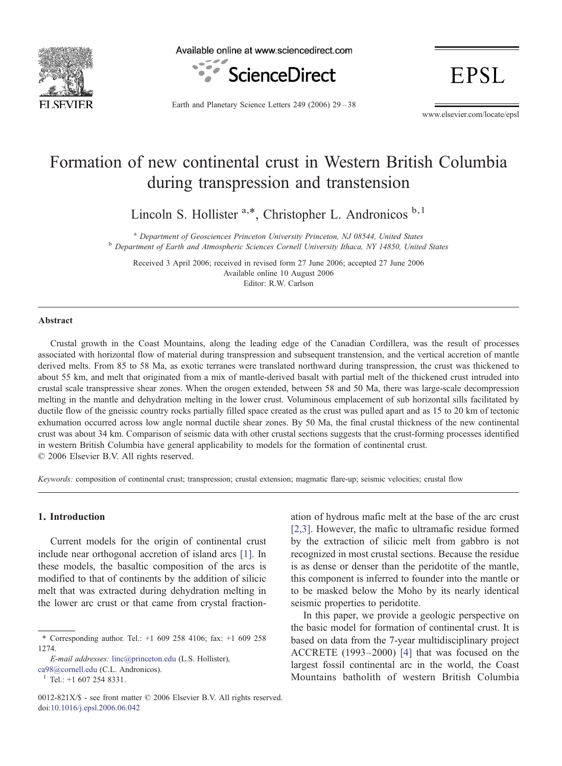

Available online at www.sciencedirect.com



**EPSL** 

Earth and Planetary Science Letters 249 (2006) 29–38

www.elsevier.com/locate/epsl

# Formation of new continental crust in Western British Columbia during transpression and transtension

Lincoln S. Hollister <sup>a,\*</sup>, Christopher L. Andronicos <sup>b,1</sup>

<sup>a</sup> Department of Geosciences Princeton University Princeton, NJ 08544, United States b Department of Earth and Atmospheric Sciences Cornell University Ithaca, NY 14850, United States

Received 3 April 2006; received in revised form 27 June 2006; accepted 27 June 2006 Available online 10 August 2006 Editor: R.W. Carlson

#### Abstract

Crustal growth in the Coast Mountains, along the leading edge of the Canadian Cordillera, was the result of processes associated with horizontal flow of material during transpression and subsequent transtension, and the vertical accretion of mantle derived melts. From 85 to 58 Ma, as exotic terranes were translated northward during transpression, the crust was thickened to about 55 km, and melt that originated from a mix of mantle-derived basalt with partial melt of the thickened crust intruded into crustal scale transpressive shear zones. When the orogen extended, between 58 and 50 Ma, there was large-scale decompression melting in the mantle and dehydration melting in the lower crust. Voluminous emplacement of sub horizontal sills facilitated by ductile flow of the gneissic country rocks partially filled space created as the crust was pulled apart and as 15 to 20 km of tectonic exhumation occurred across low angle normal ductile shear zones. By 50 Ma, the final crustal thickness of the new continental crust was about 34 km. Comparison of seismic data with other crustal sections suggests that the crust-forming processes identified in western British Columbia have general applicability to models for the formation of continental crust. © 2006 Elsevier B.V. All rights reserved.

Keywords: composition of continental crust; transpression; crustal extension; magmatic flare-up; seismic velocities; crustal flow

## 1. Introduction

Current models for the origin of continental crust include near orthogonal accretion of island arcs [\[1\]](#page-8-0). In these models, the basaltic composition of the arcs is modified to that of continents by the addition of silicic melt that was extracted during dehydration melting in the lower arc crust or that came from crystal fraction-

E-mail addresses: [linc@princeton.edu](mailto:linc@princeton.edu) (L.S. Hollister), [ca98@cornell.edu](mailto:ca98@cornell.edu) (C.L. Andronicos).<br><sup>1</sup> Tel.: +1 607 254 8331.

ation of hydrous mafic melt at the base of the arc crust [\[2,3\].](#page-8-0) However, the mafic to ultramafic residue formed by the extraction of silicic melt from gabbro is not recognized in most crustal sections. Because the residue is as dense or denser than the peridotite of the mantle, this component is inferred to founder into the mantle or to be masked below the Moho by its nearly identical seismic properties to peridotite.

In this paper, we provide a geologic perspective on the basic model for formation of continental crust. It is based on data from the 7-year multidisciplinary project ACCRETE (1993–2000) [\[4\]](#page-8-0) that was focused on the largest fossil continental arc in the world, the Coast Mountains batholith of western British Columbia

<sup>⁎</sup> Corresponding author. Tel.: +1 609 258 4106; fax: +1 609 258 1274.

<sup>0012-821</sup>X/\$ - see front matter © 2006 Elsevier B.V. All rights reserved. doi[:10.1016/j.epsl.2006.06.042](http://dx.doi.org/10.1016/j.epsl.2006.06.042)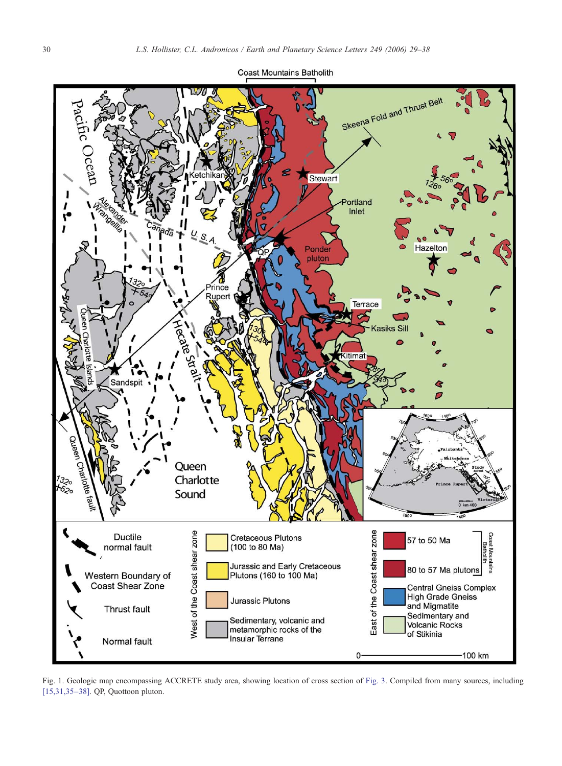<span id="page-1-0"></span>

Fig. 1. Geologic map encompassing ACCRETE study area, showing location of cross section of [Fig. 3](#page-3-0). Compiled from many sources, including [\[15,31,35](#page-8-0)–38]. QP, Quottoon pluton.

Jurassic and Early Cretaceous

Plutons (160 to 100 Ma)

Sedimentary, volcanic and<br>metamorphic rocks of the

**Cretaceous Plutons** 

(100 to 80 Ma)

Jurassic Plutons

Insular Terrane

600

57 to 50 Ma

and Migmatite

of Stikinia

Sedimentary and<br>Volcanic Rocks

80 to 57 Ma plutons

Central Gneiss Complex<br>High Grade Gneiss

Coast

Mount

100 km

East of the Coast shear zone

0

Queen

Charlotte Sound

West of the Coast shear zone

harlotte<sup>1</sup>

Ductile

normal fault

Western Boundary of

Coast Shear Zone

Thrust fault

Normal fault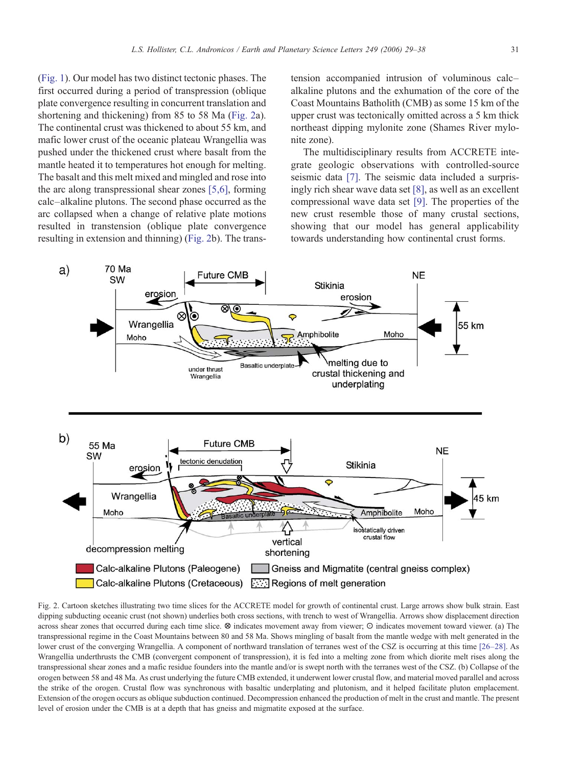<span id="page-2-0"></span>[\(Fig. 1\)](#page-1-0). Our model has two distinct tectonic phases. The first occurred during a period of transpression (oblique plate convergence resulting in concurrent translation and shortening and thickening) from 85 to 58 Ma (Fig. 2a). The continental crust was thickened to about 55 km, and mafic lower crust of the oceanic plateau Wrangellia was pushed under the thickened crust where basalt from the mantle heated it to temperatures hot enough for melting. The basalt and this melt mixed and mingled and rose into the arc along transpressional shear zones [\[5,6\],](#page-8-0) forming calc–alkaline plutons. The second phase occurred as the arc collapsed when a change of relative plate motions resulted in transtension (oblique plate convergence resulting in extension and thinning) (Fig. 2b). The trans-

tension accompanied intrusion of voluminous calc– alkaline plutons and the exhumation of the core of the Coast Mountains Batholith (CMB) as some 15 km of the upper crust was tectonically omitted across a 5 km thick northeast dipping mylonite zone (Shames River mylonite zone).

The multidisciplinary results from ACCRETE integrate geologic observations with controlled-source seismic data [\[7\]](#page-8-0). The seismic data included a surprisingly rich shear wave data set [\[8\]](#page-8-0), as well as an excellent compressional wave data set [\[9\]](#page-8-0). The properties of the new crust resemble those of many crustal sections, showing that our model has general applicability towards understanding how continental crust forms.



Fig. 2. Cartoon sketches illustrating two time slices for the ACCRETE model for growth of continental crust. Large arrows show bulk strain. East dipping subducting oceanic crust (not shown) underlies both cross sections, with trench to west of Wrangellia. Arrows show displacement direction across shear zones that occurred during each time slice. ⊗ indicates movement away from viewer; ⊙ indicates movement toward viewer. (a) The transpressional regime in the Coast Mountains between 80 and 58 Ma. Shows mingling of basalt from the mantle wedge with melt generated in the lower crust of the converging Wrangellia. A component of northward translation of terranes west of the CSZ is occurring at this time [\[26](#page-9-0)–28]. As Wrangellia underthrusts the CMB (convergent component of transpression), it is fed into a melting zone from which diorite melt rises along the transpressional shear zones and a mafic residue founders into the mantle and/or is swept north with the terranes west of the CSZ. (b) Collapse of the orogen between 58 and 48 Ma. As crust underlying the future CMB extended, it underwent lower crustal flow, and material moved parallel and across the strike of the orogen. Crustal flow was synchronous with basaltic underplating and plutonism, and it helped facilitate pluton emplacement. Extension of the orogen occurs as oblique subduction continued. Decompression enhanced the production of melt in the crust and mantle. The present level of erosion under the CMB is at a depth that has gneiss and migmatite exposed at the surface.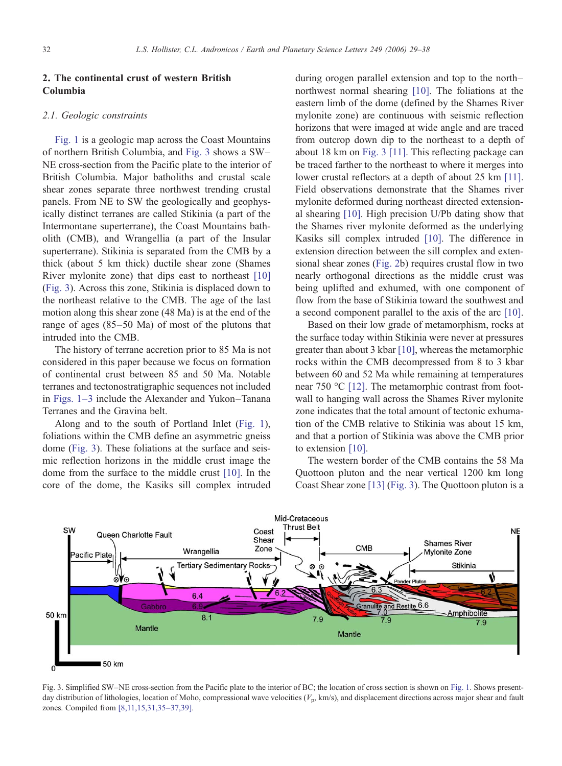# <span id="page-3-0"></span>2. The continental crust of western British Columbia

## 2.1. Geologic constraints

[Fig. 1](#page-1-0) is a geologic map across the Coast Mountains of northern British Columbia, and Fig. 3 shows a SW– NE cross-section from the Pacific plate to the interior of British Columbia. Major batholiths and crustal scale shear zones separate three northwest trending crustal panels. From NE to SW the geologically and geophysically distinct terranes are called Stikinia (a part of the Intermontane superterrane), the Coast Mountains batholith (CMB), and Wrangellia (a part of the Insular superterrane). Stikinia is separated from the CMB by a thick (about 5 km thick) ductile shear zone (Shames River mylonite zone) that dips east to northeast [\[10\]](#page-8-0) (Fig. 3). Across this zone, Stikinia is displaced down to the northeast relative to the CMB. The age of the last motion along this shear zone (48 Ma) is at the end of the range of ages (85–50 Ma) of most of the plutons that intruded into the CMB.

The history of terrane accretion prior to 85 Ma is not considered in this paper because we focus on formation of continental crust between 85 and 50 Ma. Notable terranes and tectonostratigraphic sequences not included in [Figs. 1](#page-1-0)–3 include the Alexander and Yukon–Tanana Terranes and the Gravina belt.

Along and to the south of Portland Inlet ([Fig. 1\)](#page-1-0), foliations within the CMB define an asymmetric gneiss dome (Fig. 3). These foliations at the surface and seismic reflection horizons in the middle crust image the dome from the surface to the middle crust [\[10\].](#page-8-0) In the core of the dome, the Kasiks sill complex intruded during orogen parallel extension and top to the north– northwest normal shearing [\[10\].](#page-8-0) The foliations at the eastern limb of the dome (defined by the Shames River mylonite zone) are continuous with seismic reflection horizons that were imaged at wide angle and are traced from outcrop down dip to the northeast to a depth of about 18 km on Fig. 3 [\[11\]](#page-8-0). This reflecting package can be traced farther to the northeast to where it merges into lower crustal reflectors at a depth of about 25 km [\[11\].](#page-8-0) Field observations demonstrate that the Shames river mylonite deformed during northeast directed extensional shearing [\[10\]](#page-8-0). High precision U/Pb dating show that the Shames river mylonite deformed as the underlying Kasiks sill complex intruded [\[10\].](#page-8-0) The difference in extension direction between the sill complex and extensional shear zones [\(Fig. 2b](#page-2-0)) requires crustal flow in two nearly orthogonal directions as the middle crust was being uplifted and exhumed, with one component of flow from the base of Stikinia toward the southwest and a second component parallel to the axis of the arc [\[10\].](#page-8-0)

Based on their low grade of metamorphism, rocks at the surface today within Stikinia were never at pressures greater than about 3 kbar [\[10\]](#page-8-0), whereas the metamorphic rocks within the CMB decompressed from 8 to 3 kbar between 60 and 52 Ma while remaining at temperatures near 750 °C [\[12\].](#page-8-0) The metamorphic contrast from footwall to hanging wall across the Shames River mylonite zone indicates that the total amount of tectonic exhumation of the CMB relative to Stikinia was about 15 km, and that a portion of Stikinia was above the CMB prior to extension [\[10\]](#page-8-0).

The western border of the CMB contains the 58 Ma Quottoon pluton and the near vertical 1200 km long Coast Shear zone [\[13\]](#page-8-0) (Fig. 3). The Quottoon pluton is a



Fig. 3. Simplified SW–NE cross-section from the Pacific plate to the interior of BC; the location of cross section is shown on [Fig. 1](#page-1-0). Shows presentday distribution of lithologies, location of Moho, compressional wave velocities  $(V_p, km/s)$ , and displacement directions across major shear and fault zones. Compiled from [\[8,11,15,31,35](#page-8-0)–37,39].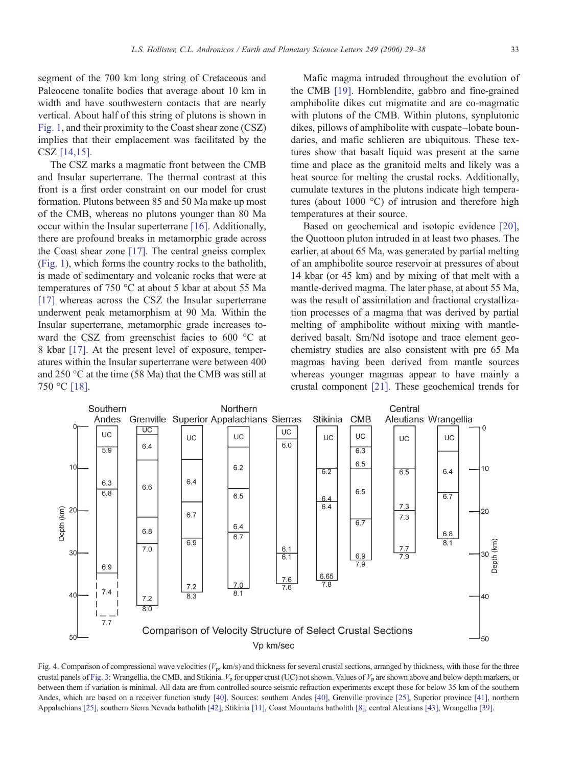<span id="page-4-0"></span>segment of the 700 km long string of Cretaceous and Paleocene tonalite bodies that average about 10 km in width and have southwestern contacts that are nearly vertical. About half of this string of plutons is shown in [Fig. 1,](#page-1-0) and their proximity to the Coast shear zone (CSZ) implies that their emplacement was facilitated by the CSZ [\[14,15\].](#page-8-0)

The CSZ marks a magmatic front between the CMB and Insular superterrane. The thermal contrast at this front is a first order constraint on our model for crust formation. Plutons between 85 and 50 Ma make up most of the CMB, whereas no plutons younger than 80 Ma occur within the Insular superterrane [\[16\]](#page-8-0). Additionally, there are profound breaks in metamorphic grade across the Coast shear zone [\[17\].](#page-9-0) The central gneiss complex [\(Fig. 1](#page-1-0)), which forms the country rocks to the batholith, is made of sedimentary and volcanic rocks that were at temperatures of 750 °C at about 5 kbar at about 55 Ma [\[17\]](#page-9-0) whereas across the CSZ the Insular superterrane underwent peak metamorphism at 90 Ma. Within the Insular superterrane, metamorphic grade increases toward the CSZ from greenschist facies to 600 °C at 8 kbar [\[17\]](#page-9-0). At the present level of exposure, temperatures within the Insular superterrane were between 400 and 250 °C at the time (58 Ma) that the CMB was still at 750 °C [\[18\].](#page-9-0)

Mafic magma intruded throughout the evolution of the CMB [\[19\]](#page-9-0). Hornblendite, gabbro and fine-grained amphibolite dikes cut migmatite and are co-magmatic with plutons of the CMB. Within plutons, synplutonic dikes, pillows of amphibolite with cuspate–lobate boundaries, and mafic schlieren are ubiquitous. These textures show that basalt liquid was present at the same time and place as the granitoid melts and likely was a heat source for melting the crustal rocks. Additionally, cumulate textures in the plutons indicate high temperatures (about 1000 °C) of intrusion and therefore high temperatures at their source.

Based on geochemical and isotopic evidence [\[20\],](#page-9-0) the Quottoon pluton intruded in at least two phases. The earlier, at about 65 Ma, was generated by partial melting of an amphibolite source reservoir at pressures of about 14 kbar (or 45 km) and by mixing of that melt with a mantle-derived magma. The later phase, at about 55 Ma, was the result of assimilation and fractional crystallization processes of a magma that was derived by partial melting of amphibolite without mixing with mantlederived basalt. Sm/Nd isotope and trace element geochemistry studies are also consistent with pre 65 Ma magmas having been derived from mantle sources whereas younger magmas appear to have mainly a crustal component [\[21\]](#page-9-0). These geochemical trends for



Fig. 4. Comparison of compressional wave velocities  $(V_p, km/s)$  and thickness for several crustal sections, arranged by thickness, with those for the three crustal panels of [Fig. 3](#page-3-0): Wrangellia, the CMB, and Stikinia.  $V<sub>p</sub>$  for upper crust (UC) not shown. Values of  $V<sub>p</sub>$  are shown above and below depth markers, or between them if variation is minimal. All data are from controlled source seismic refraction experiments except those for below 35 km of the southern Andes, which are based on a receiver function study [\[40\].](#page-9-0) Sources: southern Andes [\[40\],](#page-9-0) Grenville province [\[25\]](#page-9-0), Superior province [\[41\]](#page-9-0), northern Appalachians [\[25\],](#page-9-0) southern Sierra Nevada batholith [\[42\]](#page-9-0), Stikinia [\[11\],](#page-8-0) Coast Mountains batholith [\[8\],](#page-8-0) central Aleutians [\[43\],](#page-9-0) Wrangellia [\[39\]](#page-9-0).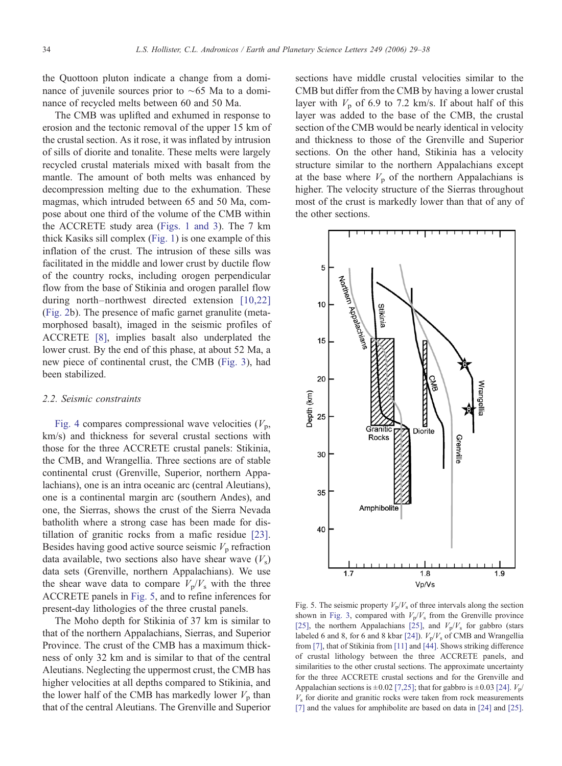<span id="page-5-0"></span>the Quottoon pluton indicate a change from a dominance of juvenile sources prior to ∼65 Ma to a dominance of recycled melts between 60 and 50 Ma.

The CMB was uplifted and exhumed in response to erosion and the tectonic removal of the upper 15 km of the crustal section. As it rose, it was inflated by intrusion of sills of diorite and tonalite. These melts were largely recycled crustal materials mixed with basalt from the mantle. The amount of both melts was enhanced by decompression melting due to the exhumation. These magmas, which intruded between 65 and 50 Ma, compose about one third of the volume of the CMB within the ACCRETE study area ([Figs. 1 and 3\)](#page-1-0). The 7 km thick Kasiks sill complex ([Fig. 1](#page-1-0)) is one example of this inflation of the crust. The intrusion of these sills was facilitated in the middle and lower crust by ductile flow of the country rocks, including orogen perpendicular flow from the base of Stikinia and orogen parallel flow during north–northwest directed extension [\[10,22\]](#page-8-0) [\(Fig. 2b](#page-2-0)). The presence of mafic garnet granulite (metamorphosed basalt), imaged in the seismic profiles of ACCRETE [\[8\],](#page-8-0) implies basalt also underplated the lower crust. By the end of this phase, at about 52 Ma, a new piece of continental crust, the CMB [\(Fig. 3\)](#page-3-0), had been stabilized.

## 2.2. Seismic constraints

[Fig. 4](#page-4-0) compares compressional wave velocities  $(V_p,$ km/s) and thickness for several crustal sections with those for the three ACCRETE crustal panels: Stikinia, the CMB, and Wrangellia. Three sections are of stable continental crust (Grenville, Superior, northern Appalachians), one is an intra oceanic arc (central Aleutians), one is a continental margin arc (southern Andes), and one, the Sierras, shows the crust of the Sierra Nevada batholith where a strong case has been made for distillation of granitic rocks from a mafic residue [\[23\].](#page-9-0) Besides having good active source seismic  $V_p$  refraction data available, two sections also have shear wave  $(V<sub>s</sub>)$ data sets (Grenville, northern Appalachians). We use the shear wave data to compare  $V_p/V_s$  with the three ACCRETE panels in Fig. 5, and to refine inferences for present-day lithologies of the three crustal panels.

The Moho depth for Stikinia of 37 km is similar to that of the northern Appalachians, Sierras, and Superior Province. The crust of the CMB has a maximum thickness of only 32 km and is similar to that of the central Aleutians. Neglecting the uppermost crust, the CMB has higher velocities at all depths compared to Stikinia, and the lower half of the CMB has markedly lower  $V_p$  than that of the central Aleutians. The Grenville and Superior sections have middle crustal velocities similar to the CMB but differ from the CMB by having a lower crustal layer with  $V_p$  of 6.9 to 7.2 km/s. If about half of this layer was added to the base of the CMB, the crustal section of the CMB would be nearly identical in velocity and thickness to those of the Grenville and Superior sections. On the other hand, Stikinia has a velocity structure similar to the northern Appalachians except at the base where  $V_p$  of the northern Appalachians is higher. The velocity structure of the Sierras throughout most of the crust is markedly lower than that of any of the other sections.



Fig. 5. The seismic property  $V_p/V_s$  of three intervals along the section shown in [Fig. 3](#page-3-0), compared with  $V_p/V_s$  from the Grenville province [\[25\]](#page-9-0), the northern Appalachians [25], and  $V_p/V_s$  for gabbro (stars labeled 6 and 8, for 6 and 8 kbar [\[24\]\)](#page-9-0).  $V_p/V_s$  of CMB and Wrangellia from [\[7\]](#page-8-0), that of Stikinia from [\[11\]](#page-8-0) and [\[44\].](#page-9-0) Shows striking difference of crustal lithology between the three ACCRETE panels, and similarities to the other crustal sections. The approximate uncertainty for the three ACCRETE crustal sections and for the Grenville and Appalachian sections is  $\pm 0.02$  [\[7,25\]](#page-8-0); that for gabbro is  $\pm 0.03$  [\[24\].](#page-9-0)  $V_p/$  $V<sub>s</sub>$  for diorite and granitic rocks were taken from rock measurements [\[7\]](#page-8-0) and the values for amphibolite are based on data in [\[24\]](#page-9-0) and [\[25\]](#page-9-0).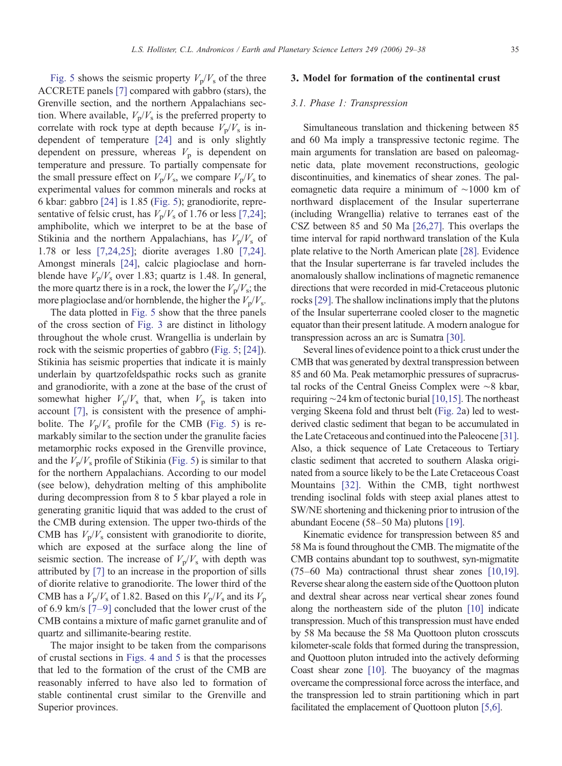[Fig. 5](#page-5-0) shows the seismic property  $V_p/V_s$  of the three ACCRETE panels [\[7\]](#page-8-0) compared with gabbro (stars), the Grenville section, and the northern Appalachians section. Where available,  $V_p/V_s$  is the preferred property to correlate with rock type at depth because  $V_p/V_s$  is independent of temperature [\[24\]](#page-9-0) and is only slightly dependent on pressure, whereas  $V_p$  is dependent on temperature and pressure. To partially compensate for the small pressure effect on  $V_p/V_s$ , we compare  $V_p/V_s$  to experimental values for common minerals and rocks at 6 kbar: gabbro [\[24\]](#page-9-0) is 1.85 [\(Fig. 5\)](#page-5-0); granodiorite, representative of felsic crust, has  $V_p/V_s$  of 1.76 or less [\[7,24\]](#page-8-0); amphibolite, which we interpret to be at the base of Stikinia and the northern Appalachians, has  $V_p/V_s$  of 1.78 or less [\[7,24,25\];](#page-8-0) diorite averages 1.80 [\[7,24\].](#page-8-0) Amongst minerals [\[24\]](#page-9-0), calcic plagioclase and hornblende have  $V_p/V_s$  over 1.83; quartz is 1.48. In general, the more quartz there is in a rock, the lower the  $V_p/V_s$ ; the more plagioclase and/or hornblende, the higher the  $V_p/V_s$ .

The data plotted in [Fig. 5](#page-5-0) show that the three panels of the cross section of [Fig. 3](#page-3-0) are distinct in lithology throughout the whole crust. Wrangellia is underlain by rock with the seismic properties of gabbro ([Fig. 5;](#page-5-0) [\[24\]](#page-9-0)). Stikinia has seismic properties that indicate it is mainly underlain by quartzofeldspathic rocks such as granite and granodiorite, with a zone at the base of the crust of somewhat higher  $V_p/V_s$  that, when  $V_p$  is taken into account [\[7\],](#page-8-0) is consistent with the presence of amphibolite. The  $V_p/V_s$  profile for the CMB ([Fig. 5\)](#page-5-0) is remarkably similar to the section under the granulite facies metamorphic rocks exposed in the Grenville province, and the  $V_p/V_s$  profile of Stikinia ([Fig. 5](#page-5-0)) is similar to that for the northern Appalachians. According to our model (see below), dehydration melting of this amphibolite during decompression from 8 to 5 kbar played a role in generating granitic liquid that was added to the crust of the CMB during extension. The upper two-thirds of the CMB has  $V_p/V_s$  consistent with granodiorite to diorite, which are exposed at the surface along the line of seismic section. The increase of  $V_p/V_s$  with depth was attributed by [\[7\]](#page-8-0) to an increase in the proportion of sills of diorite relative to granodiorite. The lower third of the CMB has a  $V_p/V_s$  of 1.82. Based on this  $V_p/V_s$  and its  $V_p$ of 6.9 km/s [7–[9\]](#page-8-0) concluded that the lower crust of the CMB contains a mixture of mafic garnet granulite and of quartz and sillimanite-bearing restite.

The major insight to be taken from the comparisons of crustal sections in [Figs. 4 and 5](#page-4-0) is that the processes that led to the formation of the crust of the CMB are reasonably inferred to have also led to formation of stable continental crust similar to the Grenville and Superior provinces.

## 3. Model for formation of the continental crust

#### 3.1. Phase 1: Transpression

Simultaneous translation and thickening between 85 and 60 Ma imply a transpressive tectonic regime. The main arguments for translation are based on paleomagnetic data, plate movement reconstructions, geologic discontinuities, and kinematics of shear zones. The paleomagnetic data require a minimum of ∼1000 km of northward displacement of the Insular superterrane (including Wrangellia) relative to terranes east of the CSZ between 85 and 50 Ma [\[26,27\]](#page-9-0). This overlaps the time interval for rapid northward translation of the Kula plate relative to the North American plate [\[28\].](#page-9-0) Evidence that the Insular superterrane is far traveled includes the anomalously shallow inclinations of magnetic remanence directions that were recorded in mid-Cretaceous plutonic rocks[\[29\].](#page-9-0) The shallow inclinations imply that the plutons of the Insular superterrane cooled closer to the magnetic equator than their present latitude. A modern analogue for transpression across an arc is Sumatra [\[30\].](#page-9-0)

Several lines of evidence point to a thick crust under the CMB that was generated by dextral transpression between 85 and 60 Ma. Peak metamorphic pressures of supracrustal rocks of the Central Gneiss Complex were ∼8 kbar, requiring ∼24 km of tectonic burial [\[10,15\].](#page-8-0) The northeast verging Skeena fold and thrust belt [\(Fig. 2](#page-2-0)a) led to westderived clastic sediment that began to be accumulated in the Late Cretaceous and continued into the Paleocene [\[31\].](#page-9-0) Also, a thick sequence of Late Cretaceous to Tertiary clastic sediment that accreted to southern Alaska originated from a source likely to be the Late Cretaceous Coast Mountains [\[32\].](#page-9-0) Within the CMB, tight northwest trending isoclinal folds with steep axial planes attest to SW/NE shortening and thickening prior to intrusion of the abundant Eocene (58–50 Ma) plutons [\[19\].](#page-9-0)

Kinematic evidence for transpression between 85 and 58 Ma is found throughout the CMB. The migmatite of the CMB contains abundant top to southwest, syn-migmatite (75–60 Ma) contractional thrust shear zones [\[10,19\].](#page-8-0) Reverse shear along the eastern side of the Quottoon pluton and dextral shear across near vertical shear zones found along the northeastern side of the pluton [\[10\]](#page-8-0) indicate transpression. Much of this transpression must have ended by 58 Ma because the 58 Ma Quottoon pluton crosscuts kilometer-scale folds that formed during the transpression, and Quottoon pluton intruded into the actively deforming Coast shear zone [\[10\]](#page-8-0). The buoyancy of the magmas overcame the compressional force across the interface, and the transpression led to strain partitioning which in part facilitated the emplacement of Quottoon pluton [\[5,6\].](#page-8-0)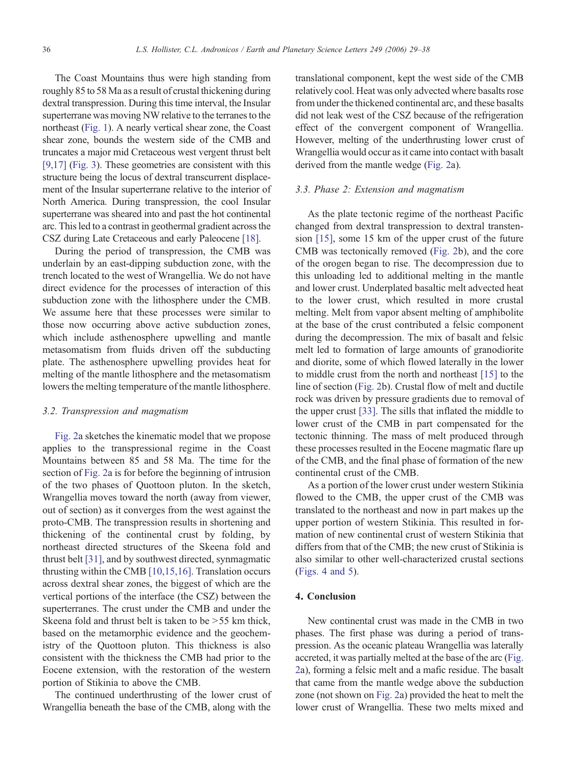The Coast Mountains thus were high standing from roughly 85 to 58 Ma as a result of crustal thickening during dextral transpression. During this time interval, the Insular superterrane was moving NW relative to the terranes to the northeast [\(Fig. 1\)](#page-1-0). A nearly vertical shear zone, the Coast shear zone, bounds the western side of the CMB and truncates a major mid Cretaceous west vergent thrust belt [\[9,17\]](#page-8-0) [\(Fig. 3](#page-3-0)). These geometries are consistent with this structure being the locus of dextral transcurrent displacement of the Insular superterrane relative to the interior of North America. During transpression, the cool Insular superterrane was sheared into and past the hot continental arc. This led to a contrast in geothermal gradient across the CSZ during Late Cretaceous and early Paleocene [\[18\].](#page-9-0)

During the period of transpression, the CMB was underlain by an east-dipping subduction zone, with the trench located to the west of Wrangellia. We do not have direct evidence for the processes of interaction of this subduction zone with the lithosphere under the CMB. We assume here that these processes were similar to those now occurring above active subduction zones, which include asthenosphere upwelling and mantle metasomatism from fluids driven off the subducting plate. The asthenosphere upwelling provides heat for melting of the mantle lithosphere and the metasomatism lowers the melting temperature of the mantle lithosphere.

### 3.2. Transpression and magmatism

[Fig. 2a](#page-2-0) sketches the kinematic model that we propose applies to the transpressional regime in the Coast Mountains between 85 and 58 Ma. The time for the section of [Fig. 2a](#page-2-0) is for before the beginning of intrusion of the two phases of Quottoon pluton. In the sketch, Wrangellia moves toward the north (away from viewer, out of section) as it converges from the west against the proto-CMB. The transpression results in shortening and thickening of the continental crust by folding, by northeast directed structures of the Skeena fold and thrust belt [\[31\],](#page-9-0) and by southwest directed, synmagmatic thrusting within the CMB [\[10,15,16\]](#page-8-0). Translation occurs across dextral shear zones, the biggest of which are the vertical portions of the interface (the CSZ) between the superterranes. The crust under the CMB and under the Skeena fold and thrust belt is taken to be  $> 55$  km thick, based on the metamorphic evidence and the geochemistry of the Quottoon pluton. This thickness is also consistent with the thickness the CMB had prior to the Eocene extension, with the restoration of the western portion of Stikinia to above the CMB.

The continued underthrusting of the lower crust of Wrangellia beneath the base of the CMB, along with the translational component, kept the west side of the CMB relatively cool. Heat was only advected where basalts rose from under the thickened continental arc, and these basalts did not leak west of the CSZ because of the refrigeration effect of the convergent component of Wrangellia. However, melting of the underthrusting lower crust of Wrangellia would occur as it came into contact with basalt derived from the mantle wedge [\(Fig. 2](#page-2-0)a).

## 3.3. Phase 2: Extension and magmatism

As the plate tectonic regime of the northeast Pacific changed from dextral transpression to dextral transtension [\[15\],](#page-8-0) some 15 km of the upper crust of the future CMB was tectonically removed [\(Fig. 2b](#page-2-0)), and the core of the orogen began to rise. The decompression due to this unloading led to additional melting in the mantle and lower crust. Underplated basaltic melt advected heat to the lower crust, which resulted in more crustal melting. Melt from vapor absent melting of amphibolite at the base of the crust contributed a felsic component during the decompression. The mix of basalt and felsic melt led to formation of large amounts of granodiorite and diorite, some of which flowed laterally in the lower to middle crust from the north and northeast [\[15\]](#page-8-0) to the line of section [\(Fig. 2b](#page-2-0)). Crustal flow of melt and ductile rock was driven by pressure gradients due to removal of the upper crust [\[33\]](#page-9-0). The sills that inflated the middle to lower crust of the CMB in part compensated for the tectonic thinning. The mass of melt produced through these processes resulted in the Eocene magmatic flare up of the CMB, and the final phase of formation of the new continental crust of the CMB.

As a portion of the lower crust under western Stikinia flowed to the CMB, the upper crust of the CMB was translated to the northeast and now in part makes up the upper portion of western Stikinia. This resulted in formation of new continental crust of western Stikinia that differs from that of the CMB; the new crust of Stikinia is also similar to other well-characterized crustal sections [\(Figs. 4 and 5](#page-4-0)).

## 4. Conclusion

New continental crust was made in the CMB in two phases. The first phase was during a period of transpression. As the oceanic plateau Wrangellia was laterally accreted, it was partially melted at the base of the arc [\(Fig.](#page-2-0) [2](#page-2-0)a), forming a felsic melt and a mafic residue. The basalt that came from the mantle wedge above the subduction zone (not shown on [Fig. 2](#page-2-0)a) provided the heat to melt the lower crust of Wrangellia. These two melts mixed and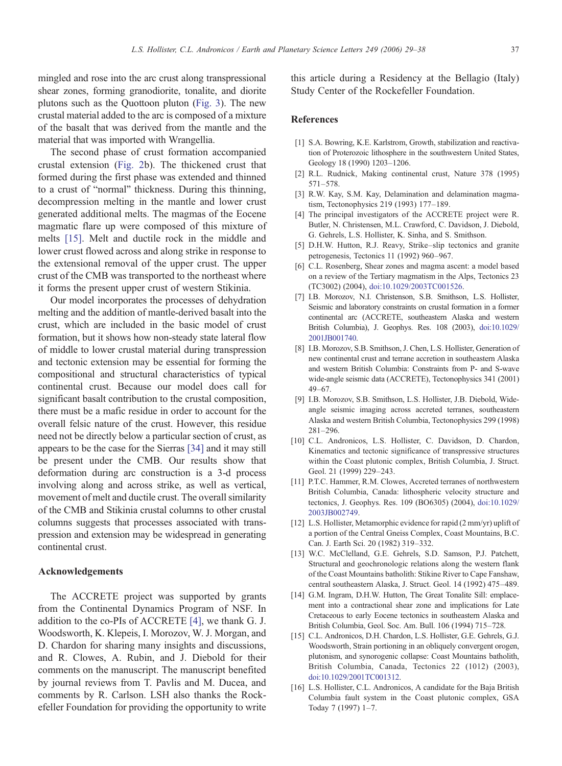<span id="page-8-0"></span>mingled and rose into the arc crust along transpressional shear zones, forming granodiorite, tonalite, and diorite plutons such as the Quottoon pluton ([Fig. 3\)](#page-3-0). The new crustal material added to the arc is composed of a mixture of the basalt that was derived from the mantle and the material that was imported with Wrangellia.

The second phase of crust formation accompanied crustal extension [\(Fig. 2b](#page-2-0)). The thickened crust that formed during the first phase was extended and thinned to a crust of "normal" thickness. During this thinning, decompression melting in the mantle and lower crust generated additional melts. The magmas of the Eocene magmatic flare up were composed of this mixture of melts [15]. Melt and ductile rock in the middle and lower crust flowed across and along strike in response to the extensional removal of the upper crust. The upper crust of the CMB was transported to the northeast where it forms the present upper crust of western Stikinia.

Our model incorporates the processes of dehydration melting and the addition of mantle-derived basalt into the crust, which are included in the basic model of crust formation, but it shows how non-steady state lateral flow of middle to lower crustal material during transpression and tectonic extension may be essential for forming the compositional and structural characteristics of typical continental crust. Because our model does call for significant basalt contribution to the crustal composition, there must be a mafic residue in order to account for the overall felsic nature of the crust. However, this residue need not be directly below a particular section of crust, as appears to be the case for the Sierras [\[34\]](#page-9-0) and it may still be present under the CMB. Our results show that deformation during arc construction is a 3-d process involving along and across strike, as well as vertical, movement of melt and ductile crust. The overall similarity of the CMB and Stikinia crustal columns to other crustal columns suggests that processes associated with transpression and extension may be widespread in generating continental crust.

## Acknowledgements

The ACCRETE project was supported by grants from the Continental Dynamics Program of NSF. In addition to the co-PIs of ACCRETE [4], we thank G. J. Woodsworth, K. Klepeis, I. Morozov, W. J. Morgan, and D. Chardon for sharing many insights and discussions, and R. Clowes, A. Rubin, and J. Diebold for their comments on the manuscript. The manuscript benefited by journal reviews from T. Pavlis and M. Ducea, and comments by R. Carlson. LSH also thanks the Rockefeller Foundation for providing the opportunity to write this article during a Residency at the Bellagio (Italy) Study Center of the Rockefeller Foundation.

#### References

- [1] S.A. Bowring, K.E. Karlstrom, Growth, stabilization and reactivation of Proterozoic lithosphere in the southwestern United States, Geology 18 (1990) 1203–1206.
- [2] R.L. Rudnick, Making continental crust, Nature 378 (1995) 571–578.
- [3] R.W. Kay, S.M. Kay, Delamination and delamination magmatism, Tectonophysics 219 (1993) 177–189.
- [4] The principal investigators of the ACCRETE project were R. Butler, N. Christensen, M.L. Crawford, C. Davidson, J. Diebold, G. Gehrels, L.S. Hollister, K. Sinha, and S. Smithson.
- [5] D.H.W. Hutton, R.J. Reavy, Strike–slip tectonics and granite petrogenesis, Tectonics 11 (1992) 960–967.
- [6] C.L. Rosenberg, Shear zones and magma ascent: a model based on a review of the Tertiary magmatism in the Alps, Tectonics 23 (TC3002) (2004), [doi:10.1029/2003TC001526.](http://dx.doi.org/10.1029/2003TC001526)
- [7] I.B. Morozov, N.I. Christenson, S.B. Smithson, L.S. Hollister, Seismic and laboratory constraints on crustal formation in a former continental arc (ACCRETE, southeastern Alaska and western British Columbia), J. Geophys. Res. 108 (2003), [doi:10.1029/](http://dx.doi.org/10.1029/2001JB001740) 2001JB001740.
- [8] I.B. Morozov, S.B. Smithson, J. Chen, L.S. Hollister, Generation of new continental crust and terrane accretion in southeastern Alaska and western British Columbia: Constraints from P- and S-wave wide-angle seismic data (ACCRETE), Tectonophysics 341 (2001) 49–67.
- [9] I.B. Morozov, S.B. Smithson, L.S. Hollister, J.B. Diebold, Wideangle seismic imaging across accreted terranes, southeastern Alaska and western British Columbia, Tectonophysics 299 (1998) 281–296.
- [10] C.L. Andronicos, L.S. Hollister, C. Davidson, D. Chardon, Kinematics and tectonic significance of transpressive structures within the Coast plutonic complex, British Columbia, J. Struct. Geol. 21 (1999) 229–243.
- [11] P.T.C. Hammer, R.M. Clowes, Accreted terranes of northwestern British Columbia, Canada: lithospheric velocity structure and tectonics, J. Geophys. Res. 109 (BO6305) (2004), [doi:10.1029/](http://dx.doi.org/10.1029/2003JB002749) 2003JB002749.
- [12] L.S. Hollister, Metamorphic evidence for rapid (2 mm/yr) uplift of a portion of the Central Gneiss Complex, Coast Mountains, B.C. Can. J. Earth Sci. 20 (1982) 319–332.
- [13] W.C. McClelland, G.E. Gehrels, S.D. Samson, P.J. Patchett, Structural and geochronologic relations along the western flank of the Coast Mountains batholith: Stikine River to Cape Fanshaw, central southeastern Alaska, J. Struct. Geol. 14 (1992) 475–489.
- [14] G.M. Ingram, D.H.W. Hutton, The Great Tonalite Sill: emplacement into a contractional shear zone and implications for Late Cretaceous to early Eocene tectonics in southeastern Alaska and British Columbia, Geol. Soc. Am. Bull. 106 (1994) 715–728.
- [15] C.L. Andronicos, D.H. Chardon, L.S. Hollister, G.E. Gehrels, G.J. Woodsworth, Strain portioning in an obliquely convergent orogen, plutonism, and synorogenic collapse: Coast Mountains batholith, British Columbia, Canada, Tectonics 22 (1012) (2003), [doi:10.1029/2001TC001312.](http://dx.doi.org/10.1029/2001TC001312)
- [16] L.S. Hollister, C.L. Andronicos, A candidate for the Baja British Columbia fault system in the Coast plutonic complex, GSA Today 7 (1997) 1–7.